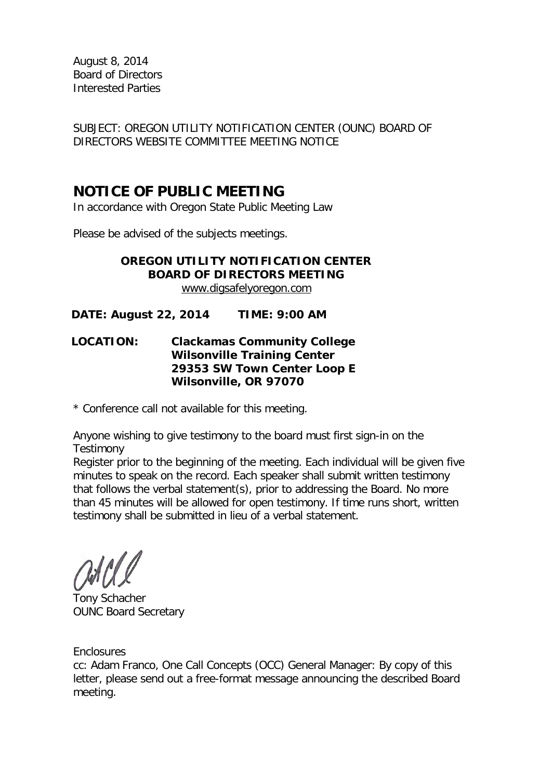August 8, 2014 Board of Directors Interested Parties

SUBJECT: OREGON UTILITY NOTIFICATION CENTER (OUNC) BOARD OF DIRECTORS WEBSITE COMMITTEE MEETING NOTICE

### **NOTICE OF PUBLIC MEETING**

In accordance with Oregon State Public Meeting Law

Please be advised of the subjects meetings.

### **OREGON UTILITY NOTIFICATION CENTER BOARD OF DIRECTORS MEETING** [www.digsafelyoregon.com](http://www.digsafelyoregon.com/)

**DATE: August 22, 2014 TIME: 9:00 AM**

### **LOCATION: Clackamas Community College Wilsonville Training Center 29353 SW Town Center Loop E Wilsonville, OR 97070**

\* Conference call not available for this meeting.

Anyone wishing to give testimony to the board must first sign-in on the **Testimony** 

Register prior to the beginning of the meeting. Each individual will be given five minutes to speak on the record. Each speaker shall submit written testimony that follows the verbal statement(s), prior to addressing the Board. No more than 45 minutes will be allowed for open testimony. If time runs short, written testimony shall be submitted in lieu of a verbal statement.

Tony Schacher OUNC Board Secretary

**Enclosures** 

cc: Adam Franco, One Call Concepts (OCC) General Manager: By copy of this letter, please send out a free-format message announcing the described Board meeting.